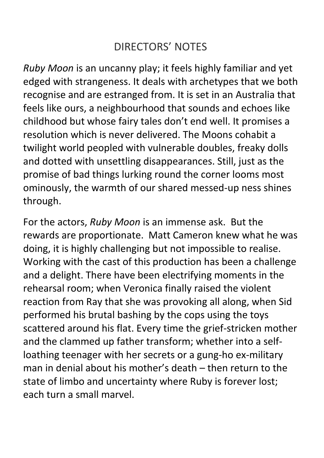## DIRECTORS' NOTES

*Ruby Moon* is an uncanny play; it feels highly familiar and yet edged with strangeness. It deals with archetypes that we both recognise and are estranged from. It is set in an Australia that feels like ours, a neighbourhood that sounds and echoes like childhood but whose fairy tales don't end well. It promises a resolution which is never delivered. The Moons cohabit a twilight world peopled with vulnerable doubles, freaky dolls and dotted with unsettling disappearances. Still, just as the promise of bad things lurking round the corner looms most ominously, the warmth of our shared messed-up ness shines through.

For the actors, *Ruby Moon* is an immense ask. But the rewards are proportionate. Matt Cameron knew what he was doing, it is highly challenging but not impossible to realise. Working with the cast of this production has been a challenge and a delight. There have been electrifying moments in the rehearsal room; when Veronica finally raised the violent reaction from Ray that she was provoking all along, when Sid performed his brutal bashing by the cops using the toys scattered around his flat. Every time the grief-stricken mother and the clammed up father transform; whether into a selfloathing teenager with her secrets or a gung-ho ex-military man in denial about his mother's death – then return to the state of limbo and uncertainty where Ruby is forever lost; each turn a small marvel.